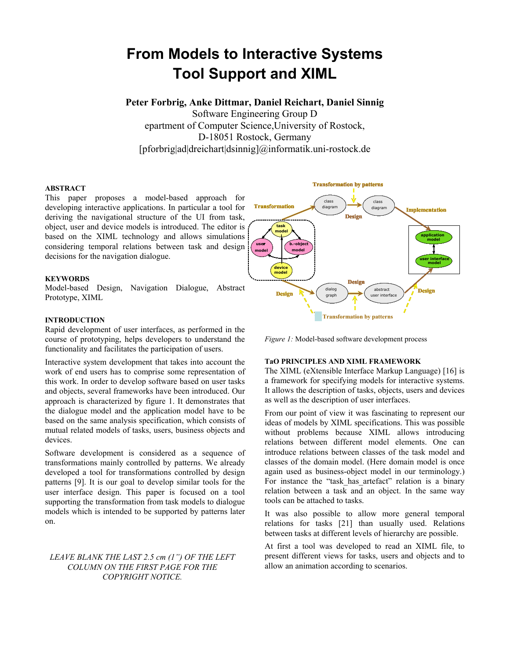# **From Models to Interactive Systems Tool Support and XIML**

**Peter Forbrig, Anke Dittmar, Daniel Reichart, Daniel Sinnig**

Software Engineering Group D epartment of Computer Science,University of Rostock, D-18051 Rostock, Germany [pforbrig|ad|dreichart|dsinnig]@informatik.uni-rostock.de

## **ABSTRACT**

This paper proposes a model-based approach for developing interactive applications. In particular a tool for deriving the navigational structure of the UI from task, object, user and device models is introduced. The editor is based on the XIML technology and allows simulations considering temporal relations between task and design decisions for the navigation dialogue.

## **KEYWORDS**

Model-based Design, Navigation Dialogue, Abstract Prototype, XIML

# **INTRODUCTION**

Rapid development of user interfaces, as performed in the course of prototyping, helps developers to understand the functionality and facilitates the participation of users.

Interactive system development that takes into account the **TaO PRINCIPLES AND XIML FRAMEWORK**  work of end users has to comprise some representation of this work. In order to develop software based on user tasks and objects, several frameworks have been introduced. Our approach is characterized by figure 1. It demonstrates that the dialogue model and the application model have to be based on the same analysis specification, which consists of mutual related models of tasks, users, business objects and devices.

Software development is considered as a sequence of transformations mainly controlled by patterns. We already developed a tool for transformations controlled by design patterns [9]. It is our goal to develop similar tools for the user interface design. This paper is focused on a tool supporting the transformation from task models to dialogue models which is intended to be supported by patterns later on.

# *LEAVE BLANK THE LAST 2.5 cm (1") OF THE LEFT COLUMN ON THE FIRST PAGE FOR THE COPYRIGHT NOTICE.*



*Figure 1:* Model-based software development process

The XIML (eXtensible Interface Markup Language) [16] is a framework for specifying models for interactive systems. It allows the description of tasks, objects, users and devices as well as the description of user interfaces.

From our point of view it was fascinating to represent our ideas of models by XIML specifications. This was possible without problems because XIML allows introducing relations between different model elements. One can introduce relations between classes of the task model and classes of the domain model. (Here domain model is once again used as business-object model in our terminology.) For instance the "task has artefact" relation is a binary relation between a task and an object. In the same way tools can be attached to tasks.

It was also possible to allow more general temporal relations for tasks [21] than usually used. Relations between tasks at different levels of hierarchy are possible.

At first a tool was developed to read an XIML file, to present different views for tasks, users and objects and to allow an animation according to scenarios.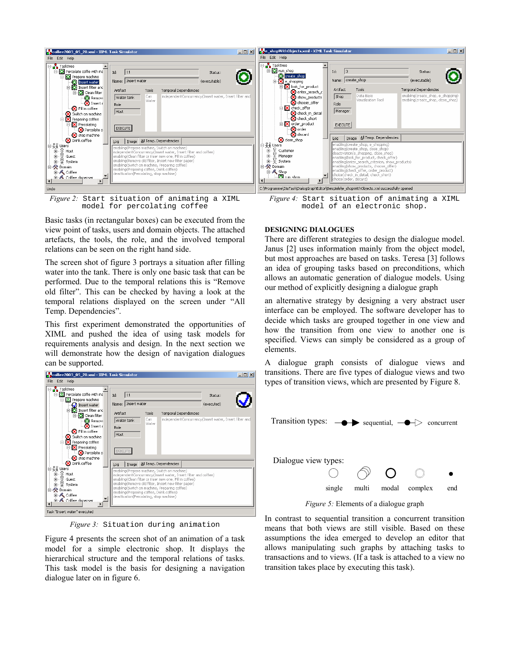

*Figure 2:* Start situation of animating a XIML model for percolating coffee

Basic tasks (in rectangular boxes) can be executed from the view point of tasks, users and domain objects. The attached artefacts, the tools, the role, and the involved temporal relations can be seen on the right hand side.

The screen shot of figure 3 portrays a situation after filling water into the tank. There is only one basic task that can be performed. Due to the temporal relations this is "Remove old filter". This can be checked by having a look at the temporal relations displayed on the screen under "All Temp. Dependencies".

This first experiment demonstrated the opportunities of XIML and pushed the idea of using task models for requirements analysis and design. In the next section we will demonstrate how the design of navigation dialogues can be supported. A dialogue graph consists of dialogue views and



*Figure 3:* Situation during animation

Figure 4 presents the screen shot of an animation of a task model for a simple electronic shop. It displays the hierarchical structure and the temporal relations of tasks. This task model is the basis for designing a navigation dialogue later on in figure 6.

*Figure 4:* Start situation of animating a XIML model of an electronic shop.

## **DESIGNING DIALOGUES**

There are different strategies to design the dialogue model. Janus [2] uses information mainly from the object model, but most approaches are based on tasks. Teresa [3] follows an idea of grouping tasks based on preconditions, which allows an automatic generation of dialogue models. Using our method of explicitly designing a dialogue graph

an alternative strategy by designing a very abstract user interface can be employed. The software developer has to decide which tasks are grouped together in one view and how the transition from one view to another one is specified. Views can simply be considered as a group of elements.

transitions. There are five types of dialogue views and two types of transition views, which are presented by Figure 8.



*Figure 5:* Elements of a dialogue graph

In contrast to sequential transition a concurrent transition means that both views are still visible. Based on these assumptions the idea emerged to develop an editor that allows manipulating such graphs by attaching tasks to transactions and to views. (If a task is attached to a view no transition takes place by executing this task).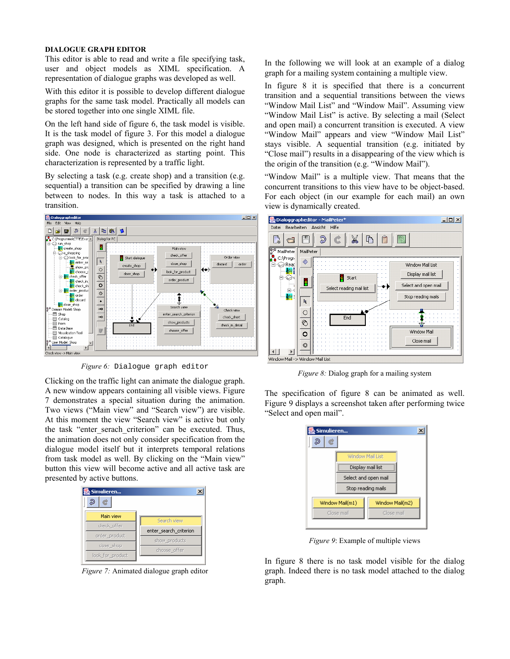### **DIALOGUE GRAPH EDITOR**

This editor is able to read and write a file specifying task, user and object models as XIML specification. A representation of dialogue graphs was developed as well.

With this editor it is possible to develop different dialogue graphs for the same task model. Practically all models can be stored together into one single XIML file.

On the left hand side of figure 6, the task model is visible. It is the task model of figure 3. For this model a dialogue graph was designed, which is presented on the right hand side. One node is characterized as starting point. This characterization is represented by a traffic light.

By selecting a task (e.g. create shop) and a transition (e.g. sequential) a transition can be specified by drawing a line between to nodes. In this way a task is attached to a transition.



*Figure 6:* Dialogue graph editor

Clicking on the traffic light can animate the dialogue graph. A new window appears containing all visible views. Figure 7 demonstrates a special situation during the animation. Two views ("Main view" and "Search view") are visible. At this moment the view "Search view" is active but only the task "enter\_serach\_criterion" can be executed. Thus, the animation does not only consider specification from the dialogue model itself but it interprets temporal relations from task model as well. By clicking on the "Main view" button this view will become active and all active task are presented by active buttons.



*Figure 7:* Animated dialogue graph editor

In the following we will look at an example of a dialog graph for a mailing system containing a multiple view.

In figure 8 it is specified that there is a concurrent transition and a sequential transitions between the views "Window Mail List" and "Window Mail". Assuming view "Window Mail List" is active. By selecting a mail (Select and open mail) a concurrent transition is executed. A view "Window Mail" appears and view "Window Mail List" stays visible. A sequential transition (e.g. initiated by "Close mail") results in a disappearing of the view which is the origin of the transition (e.g. "Window Mail").

"Window Mail" is a multiple view. That means that the concurrent transitions to this view have to be object-based. For each object (in our example for each mail) an own view is dynamically created.



*Figure 8:* Dialog graph for a mailing system

The specification of figure 8 can be animated as well. Figure 9 displays a screenshot taken after performing twice "Select and open mail".



*Figure 9*: Example of multiple views

In figure 8 there is no task model visible for the dialog graph. Indeed there is no task model attached to the dialog graph.